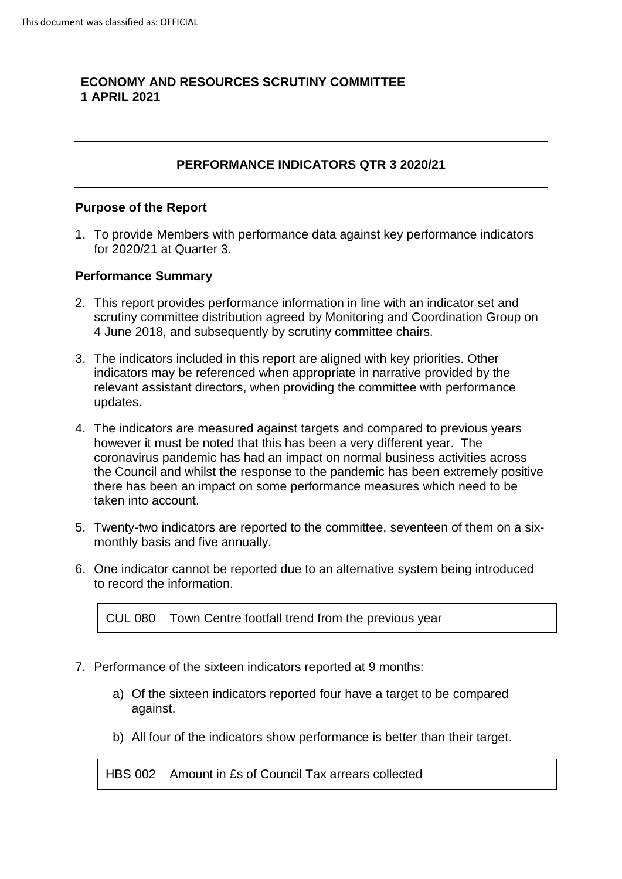# **ECONOMY AND RESOURCES SCRUTINY COMMITTEE 1 APRIL 2021**

# **PERFORMANCE INDICATORS QTR 3 2020/21**

#### **Purpose of the Report**

1. To provide Members with performance data against key performance indicators for 2020/21 at Quarter 3.

#### **Performance Summary**

- 2. This report provides performance information in line with an indicator set and scrutiny committee distribution agreed by Monitoring and Coordination Group on 4 June 2018, and subsequently by scrutiny committee chairs.
- 3. The indicators included in this report are aligned with key priorities. Other indicators may be referenced when appropriate in narrative provided by the relevant assistant directors, when providing the committee with performance updates.
- 4. The indicators are measured against targets and compared to previous years however it must be noted that this has been a very different year. The coronavirus pandemic has had an impact on normal business activities across the Council and whilst the response to the pandemic has been extremely positive there has been an impact on some performance measures which need to be taken into account.
- 5. Twenty-two indicators are reported to the committee, seventeen of them on a sixmonthly basis and five annually.
- 6. One indicator cannot be reported due to an alternative system being introduced to record the information.

|  | CUL 080   Town Centre footfall trend from the previous year |
|--|-------------------------------------------------------------|
|--|-------------------------------------------------------------|

- 7. Performance of the sixteen indicators reported at 9 months:
	- a) Of the sixteen indicators reported four have a target to be compared against.
	- b) All four of the indicators show performance is better than their target.

|  | HBS 002   Amount in £s of Council Tax arrears collected |
|--|---------------------------------------------------------|
|--|---------------------------------------------------------|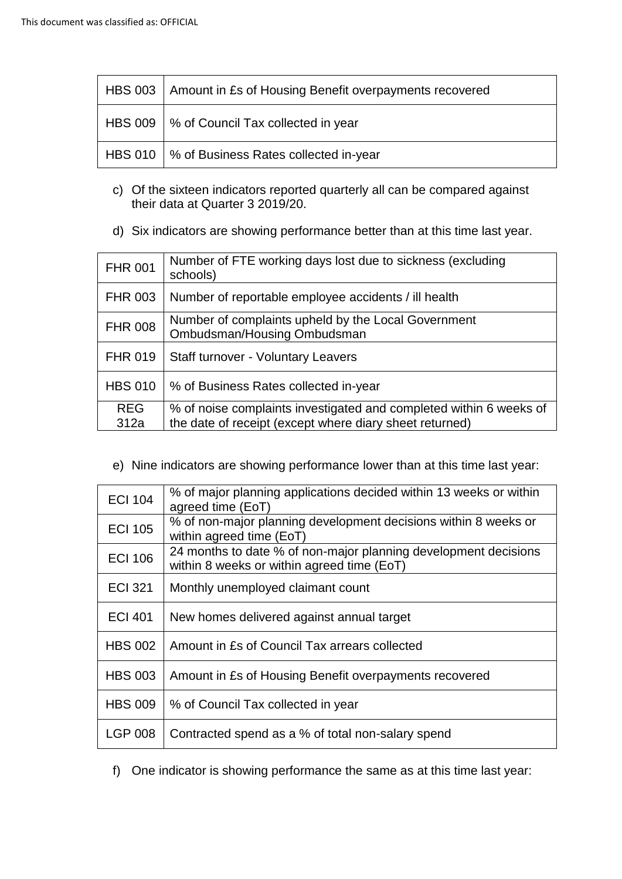| HBS 003   Amount in £s of Housing Benefit overpayments recovered |  |
|------------------------------------------------------------------|--|
| HBS 009   % of Council Tax collected in year                     |  |
| HBS 010   % of Business Rates collected in-year                  |  |

- c) Of the sixteen indicators reported quarterly all can be compared against their data at Quarter 3 2019/20.
- d) Six indicators are showing performance better than at this time last year.

| <b>FHR 001</b> | Number of FTE working days lost due to sickness (excluding<br>schools)             |  |
|----------------|------------------------------------------------------------------------------------|--|
| <b>FHR 003</b> | Number of reportable employee accidents / ill health                               |  |
| <b>FHR 008</b> | Number of complaints upheld by the Local Government<br>Ombudsman/Housing Ombudsman |  |
| <b>FHR 019</b> | <b>Staff turnover - Voluntary Leavers</b>                                          |  |
| <b>HBS 010</b> | % of Business Rates collected in-year                                              |  |
| <b>REG</b>     | % of noise complaints investigated and completed within 6 weeks of                 |  |
| 312a           | the date of receipt (except where diary sheet returned)                            |  |

e) Nine indicators are showing performance lower than at this time last year:

| <b>ECI 104</b> | % of major planning applications decided within 13 weeks or within<br>agreed time (EoT)                       |  |
|----------------|---------------------------------------------------------------------------------------------------------------|--|
| <b>ECI 105</b> | % of non-major planning development decisions within 8 weeks or<br>within agreed time (EoT)                   |  |
| <b>ECI 106</b> | 24 months to date % of non-major planning development decisions<br>within 8 weeks or within agreed time (EoT) |  |
| <b>ECI 321</b> | Monthly unemployed claimant count                                                                             |  |
| <b>ECI 401</b> | New homes delivered against annual target                                                                     |  |
| <b>HBS 002</b> | Amount in £s of Council Tax arrears collected                                                                 |  |
| <b>HBS 003</b> | Amount in £s of Housing Benefit overpayments recovered                                                        |  |
| <b>HBS 009</b> | % of Council Tax collected in year                                                                            |  |
| <b>LGP 008</b> | Contracted spend as a % of total non-salary spend                                                             |  |

f) One indicator is showing performance the same as at this time last year: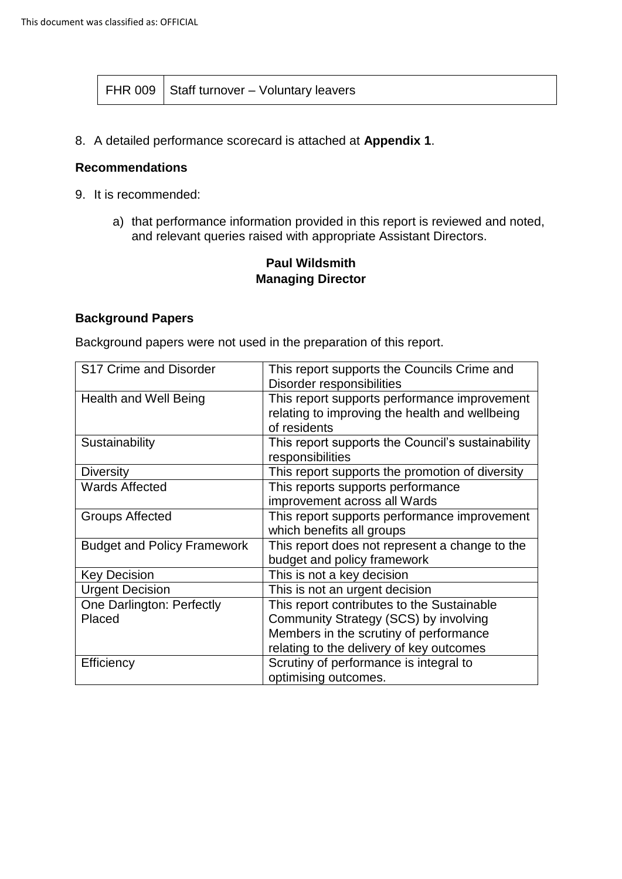8. A detailed performance scorecard is attached at **Appendix 1**.

#### **Recommendations**

- 9. It is recommended:
	- a) that performance information provided in this report is reviewed and noted, and relevant queries raised with appropriate Assistant Directors.

# **Paul Wildsmith Managing Director**

### **Background Papers**

Background papers were not used in the preparation of this report.

| S17 Crime and Disorder             | This report supports the Councils Crime and       |
|------------------------------------|---------------------------------------------------|
|                                    | Disorder responsibilities                         |
| Health and Well Being              | This report supports performance improvement      |
|                                    | relating to improving the health and wellbeing    |
|                                    | of residents                                      |
| Sustainability                     | This report supports the Council's sustainability |
|                                    | responsibilities                                  |
| <b>Diversity</b>                   | This report supports the promotion of diversity   |
| <b>Wards Affected</b>              | This reports supports performance                 |
|                                    | improvement across all Wards                      |
| <b>Groups Affected</b>             | This report supports performance improvement      |
|                                    | which benefits all groups                         |
| <b>Budget and Policy Framework</b> | This report does not represent a change to the    |
|                                    | budget and policy framework                       |
| <b>Key Decision</b>                | This is not a key decision                        |
| <b>Urgent Decision</b>             | This is not an urgent decision                    |
| One Darlington: Perfectly          | This report contributes to the Sustainable        |
| Placed                             | Community Strategy (SCS) by involving             |
|                                    | Members in the scrutiny of performance            |
|                                    | relating to the delivery of key outcomes          |
| Efficiency                         | Scrutiny of performance is integral to            |
|                                    | optimising outcomes.                              |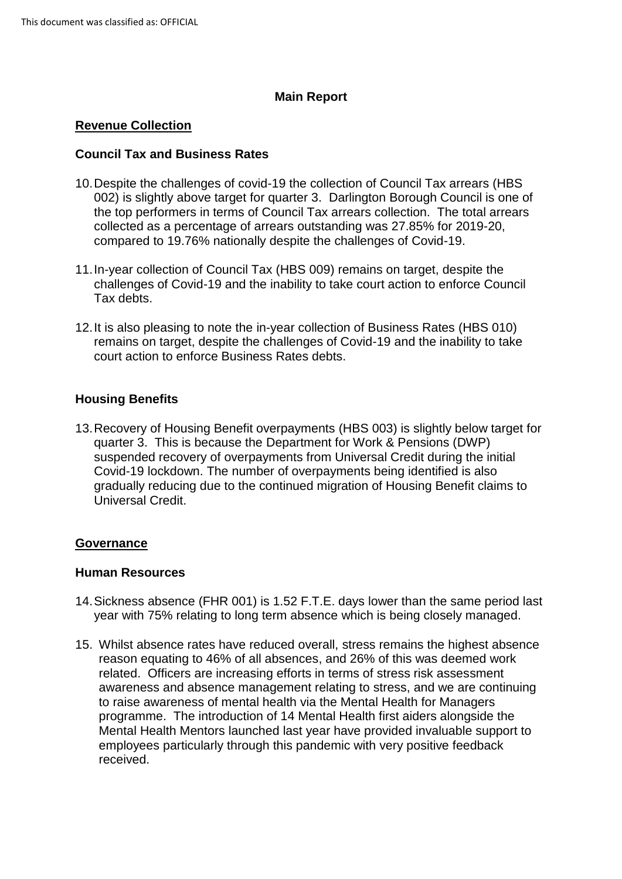## **Main Report**

### **Revenue Collection**

### **Council Tax and Business Rates**

- 10.Despite the challenges of covid-19 the collection of Council Tax arrears (HBS 002) is slightly above target for quarter 3. Darlington Borough Council is one of the top performers in terms of Council Tax arrears collection. The total arrears collected as a percentage of arrears outstanding was 27.85% for 2019-20, compared to 19.76% nationally despite the challenges of Covid-19.
- 11.In-year collection of Council Tax (HBS 009) remains on target, despite the challenges of Covid-19 and the inability to take court action to enforce Council Tax debts.
- 12.It is also pleasing to note the in-year collection of Business Rates (HBS 010) remains on target, despite the challenges of Covid-19 and the inability to take court action to enforce Business Rates debts.

### **Housing Benefits**

13.Recovery of Housing Benefit overpayments (HBS 003) is slightly below target for quarter 3. This is because the Department for Work & Pensions (DWP) suspended recovery of overpayments from Universal Credit during the initial Covid-19 lockdown. The number of overpayments being identified is also gradually reducing due to the continued migration of Housing Benefit claims to Universal Credit.

### **Governance**

### **Human Resources**

- 14.Sickness absence (FHR 001) is 1.52 F.T.E. days lower than the same period last year with 75% relating to long term absence which is being closely managed.
- 15. Whilst absence rates have reduced overall, stress remains the highest absence reason equating to 46% of all absences, and 26% of this was deemed work related. Officers are increasing efforts in terms of stress risk assessment awareness and absence management relating to stress, and we are continuing to raise awareness of mental health via the Mental Health for Managers programme. The introduction of 14 Mental Health first aiders alongside the Mental Health Mentors launched last year have provided invaluable support to employees particularly through this pandemic with very positive feedback received.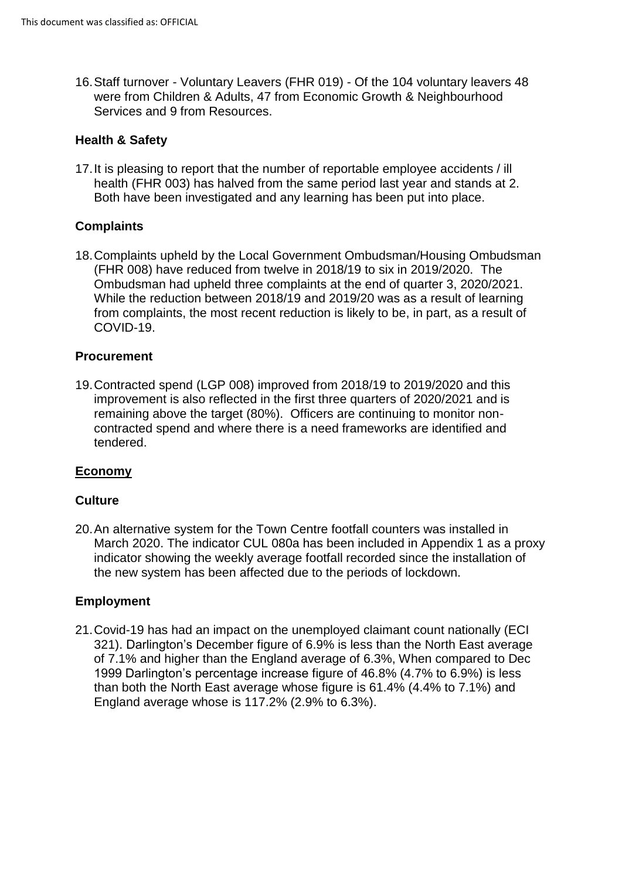16.Staff turnover - Voluntary Leavers (FHR 019) - Of the 104 voluntary leavers 48 were from Children & Adults, 47 from Economic Growth & Neighbourhood Services and 9 from Resources.

### **Health & Safety**

17.It is pleasing to report that the number of reportable employee accidents / ill health (FHR 003) has halved from the same period last year and stands at 2. Both have been investigated and any learning has been put into place.

# **Complaints**

18.Complaints upheld by the Local Government Ombudsman/Housing Ombudsman (FHR 008) have reduced from twelve in 2018/19 to six in 2019/2020. The Ombudsman had upheld three complaints at the end of quarter 3, 2020/2021. While the reduction between 2018/19 and 2019/20 was as a result of learning from complaints, the most recent reduction is likely to be, in part, as a result of COVID-19.

### **Procurement**

19.Contracted spend (LGP 008) improved from 2018/19 to 2019/2020 and this improvement is also reflected in the first three quarters of 2020/2021 and is remaining above the target (80%). Officers are continuing to monitor noncontracted spend and where there is a need frameworks are identified and tendered.

### **Economy**

### **Culture**

20.An alternative system for the Town Centre footfall counters was installed in March 2020. The indicator CUL 080a has been included in Appendix 1 as a proxy indicator showing the weekly average footfall recorded since the installation of the new system has been affected due to the periods of lockdown.

### **Employment**

21.Covid-19 has had an impact on the unemployed claimant count nationally (ECI 321). Darlington's December figure of 6.9% is less than the North East average of 7.1% and higher than the England average of 6.3%, When compared to Dec 1999 Darlington's percentage increase figure of 46.8% (4.7% to 6.9%) is less than both the North East average whose figure is 61.4% (4.4% to 7.1%) and England average whose is 117.2% (2.9% to 6.3%).